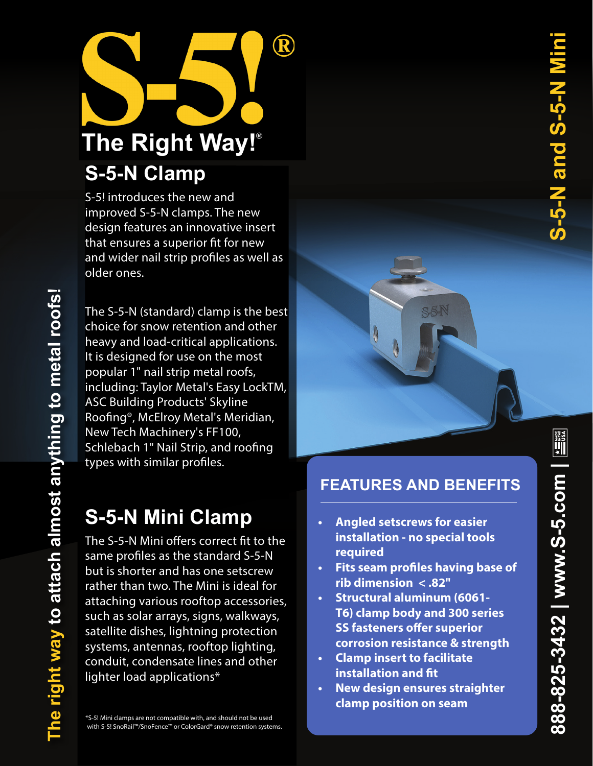

S-5! introduces the new and improved S-5-N clamps. The new design features an innovative insert that ensures a superior fit for new and wider nail strip profiles as well as older ones.

The S-5-N (standard) clamp is the best choice for snow retention and other heavy and load-critical applications. It is designed for use on the most popular 1" nail strip metal roofs, including: Taylor Metal's Easy LockTM, ASC Building Products' Skyline Roofing®, McElroy Metal's Meridian, New Tech Machinery's FF100, Schlebach 1" Nail Strip, and roofing types with similar profiles.

# **S-5-N Mini Clamp**

The S-5-N Mini offers correct fit to the same profiles as the standard S-5-N but is shorter and has one setscrew rather than two. The Mini is ideal for attaching various rooftop accessories, such as solar arrays, signs, walkways, satellite dishes, lightning protection systems, antennas, rooftop lighting, conduit, condensate lines and other lighter load applications\*

\*S-5! Mini clamps are not compatible with, and should not be used with S-5! SnoRail™/SnoFence™ or ColorGard® snow retention systems.

# **FEATURES AND BENEFITS**

S5N

- **• Angled setscrews for easier installation - no special tools required**
- **• Fits seam profiles having base of rib dimension < .82"**
- **• Structural aluminum (6061- T6) clamp body and 300 series SS fasteners offer superior corrosion resistance & strength**
- **• Clamp insert to facilitate installation and fit**
- **• New design ensures straighter clamp position on seam**

 $\begin{picture}(25,20) \put(0,0){\line(1,0){15}} \put(15,0){\line(1,0){15}} \put(15,0){\line(1,0){15}} \put(15,0){\line(1,0){15}} \put(15,0){\line(1,0){15}} \put(15,0){\line(1,0){15}} \put(15,0){\line(1,0){15}} \put(15,0){\line(1,0){15}} \put(15,0){\line(1,0){15}} \put(15,0){\line(1,0){15}} \put(15,0){\line(1,0){15}} \put(15,0){\line(1$ 

888-825-3432 | www.S-5.com |